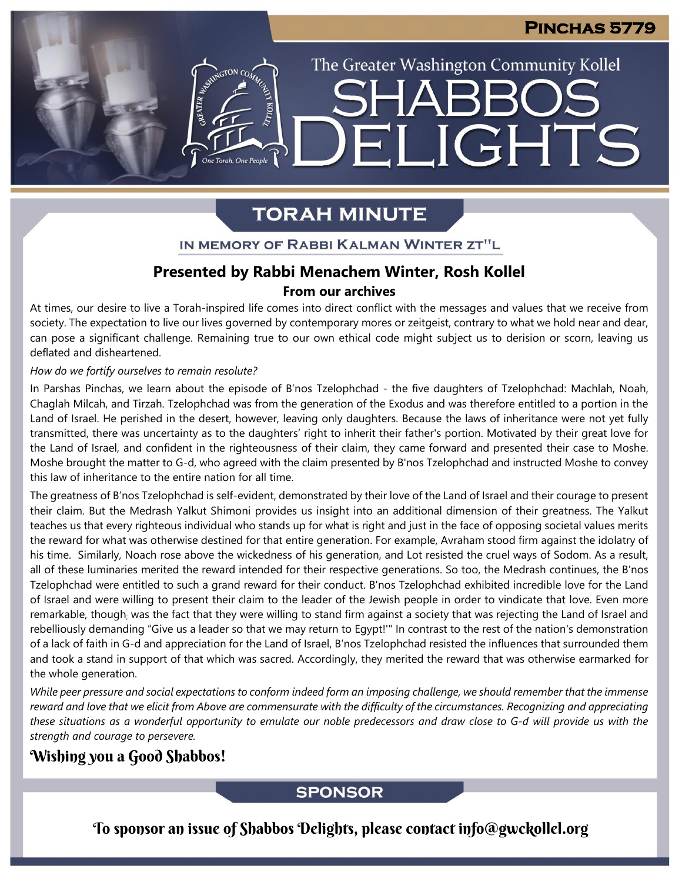The Greater Washington Community Kollel

LIGHTS

## **TORAH MINUTE**

EI

### IN MEMORY OF RABBI KALMAN WINTER ZT"L

### **Presented by Rabbi Menachem Winter, Rosh Kollel From our archives**

At times, our desire to live a Torah-inspired life comes into direct conflict with the messages and values that we receive from society. The expectation to live our lives governed by contemporary mores or zeitgeist, contrary to what we hold near and dear, can pose a significant challenge. Remaining true to our own ethical code might subject us to derision or scorn, leaving us deflated and disheartened.

#### *How do we fortify ourselves to remain resolute?*

ASSEMBATON CO

In Parshas Pinchas, we learn about the episode of B'nos Tzelophchad - the five daughters of Tzelophchad: Machlah, Noah, Chaglah Milcah, and Tirzah. Tzelophchad was from the generation of the Exodus and was therefore entitled to a portion in the Land of Israel. He perished in the desert, however, leaving only daughters. Because the laws of inheritance were not yet fully transmitted, there was uncertainty as to the daughters' right to inherit their father's portion. Motivated by their great love for the Land of Israel, and confident in the righteousness of their claim, they came forward and presented their case to Moshe. Moshe brought the matter to G-d, who agreed with the claim presented by B'nos Tzelophchad and instructed Moshe to convey this law of inheritance to the entire nation for all time.

The greatness of B'nos Tzelophchad is self-evident, demonstrated by their love of the Land of Israel and their courage to present their claim. But the Medrash Yalkut Shimoni provides us insight into an additional dimension of their greatness. The Yalkut teaches us that every righteous individual who stands up for what is right and just in the face of opposing societal values merits the reward for what was otherwise destined for that entire generation. For example, Avraham stood firm against the idolatry of his time. Similarly, Noach rose above the wickedness of his generation, and Lot resisted the cruel ways of Sodom. As a result, all of these luminaries merited the reward intended for their respective generations. So too, the Medrash continues, the B'nos Tzelophchad were entitled to such a grand reward for their conduct. B'nos Tzelophchad exhibited incredible love for the Land of Israel and were willing to present their claim to the leader of the Jewish people in order to vindicate that love. Even more remarkable, though; was the fact that they were willing to stand firm against a society that was rejecting the Land of Israel and rebelliously demanding "Give us a leader so that we may return to Egypt!'" In contrast to the rest of the nation's demonstration of a lack of faith in G-d and appreciation for the Land of Israel, B'nos Tzelophchad resisted the influences that surrounded them and took a stand in support of that which was sacred. Accordingly, they merited the reward that was otherwise earmarked for the whole generation.

While peer pressure and social expectations to conform indeed form an imposing challenge, we should remember that the immense reward and love that we elicit from Above are commensurate with the difficulty of the circumstances. Recognizing and appreciating these situations as a wonderful opportunity to emulate our noble predecessors and draw close to G-d will provide us with the *strength and courage to persevere.*

### Wishing you a Good Shabbos!

### **SPONSOR**

To sponsor an issue of Shabbos Delights, please contact info@gwckollel.org